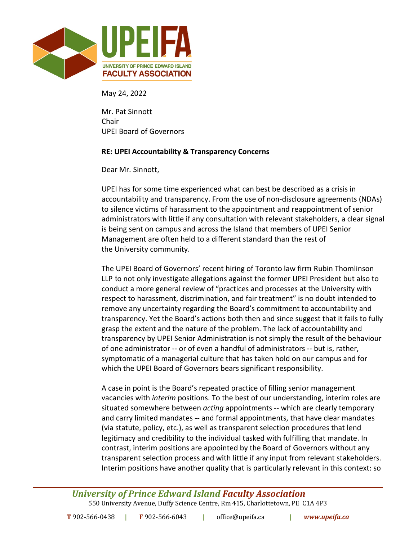

May 24, 2022

Mr. Pat Sinnott Chair UPEI Board of Governors

## **RE: UPEI Accountability & Transparency Concerns**

Dear Mr. Sinnott,

UPEI has for some time experienced what can best be described as a crisis in accountability and transparency. From the use of non-disclosure agreements (NDAs) to silence victims of harassment to the appointment and reappointment of senior administrators with little if any consultation with relevant stakeholders, a clear signal is being sent on campus and across the Island that members of UPEI Senior Management are often held to a different standard than the rest of the University community.

The UPEI Board of Governors' recent hiring of Toronto law firm Rubin Thomlinson LLP to not only investigate allegations against the former UPEI President but also to conduct a more general review of "practices and processes at the University with respect to harassment, discrimination, and fair treatment" is no doubt intended to remove any uncertainty regarding the Board's commitment to accountability and transparency. Yet the Board's actions both then and since suggest that it fails to fully grasp the extent and the nature of the problem. The lack of accountability and transparency by UPEI Senior Administration is not simply the result of the behaviour of one administrator -- or of even a handful of administrators -- but is, rather, symptomatic of a managerial culture that has taken hold on our campus and for which the UPEI Board of Governors bears significant responsibility.

A case in point is the Board's repeated practice of filling senior management vacancies with *interim* positions. To the best of our understanding, interim roles are situated somewhere between *acting* appointments -- which are clearly temporary and carry limited mandates -- and formal appointments, that have clear mandates (via statute, policy, etc.), as well as transparent selection procedures that lend legitimacy and credibility to the individual tasked with fulfilling that mandate. In contrast, interim positions are appointed by the Board of Governors without any transparent selection process and with little if any input from relevant stakeholders. Interim positions have another quality that is particularly relevant in this context: so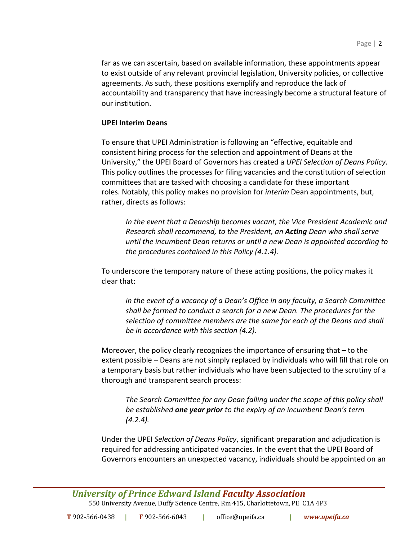far as we can ascertain, based on available information, these appointments appear to exist outside of any relevant provincial legislation, University policies, or collective agreements. As such, these positions exemplify and reproduce the lack of accountability and transparency that have increasingly become a structural feature of our institution.

## **UPEI Interim Deans**

To ensure that UPEI Administration is following an "effective, equitable and consistent hiring process for the selection and appointment of Deans at the University," the UPEI Board of Governors has created a *UPEI Selection of Deans Policy*. This policy outlines the processes for filing vacancies and the constitution of selection committees that are tasked with choosing a candidate for these important roles. Notably, this policy makes no provision for *interim* Dean appointments, but, rather, directs as follows:

*In the event that a Deanship becomes vacant, the Vice President Academic and Research shall recommend, to the President, an Acting Dean who shall serve until the incumbent Dean returns or until a new Dean is appointed according to the procedures contained in this Policy (4.1.4).*

To underscore the temporary nature of these acting positions, the policy makes it clear that:

*in the event of a vacancy of a Dean's Office in any faculty, a Search Committee shall be formed to conduct a search for a new Dean. The procedures for the selection of committee members are the same for each of the Deans and shall be in accordance with this section (4.2).*

Moreover, the policy clearly recognizes the importance of ensuring that – to the extent possible – Deans are not simply replaced by individuals who will fill that role on a temporary basis but rather individuals who have been subjected to the scrutiny of a thorough and transparent search process:

*The Search Committee for any Dean falling under the scope of this policy shall be established one year prior to the expiry of an incumbent Dean's term (4.2.4).*

Under the UPEI *Selection of Deans Policy*, significant preparation and adjudication is required for addressing anticipated vacancies. In the event that the UPEI Board of Governors encounters an unexpected vacancy, individuals should be appointed on an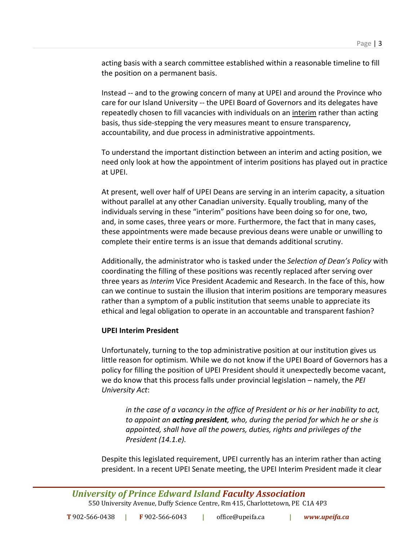acting basis with a search committee established within a reasonable timeline to fill the position on a permanent basis.

Instead -- and to the growing concern of many at UPEI and around the Province who care for our Island University -- the UPEI Board of Governors and its delegates have repeatedly chosen to fill vacancies with individuals on an interim rather than acting basis, thus side-stepping the very measures meant to ensure transparency, accountability, and due process in administrative appointments.

To understand the important distinction between an interim and acting position, we need only look at how the appointment of interim positions has played out in practice at UPEI.

At present, well over half of UPEI Deans are serving in an interim capacity, a situation without parallel at any other Canadian university. Equally troubling, many of the individuals serving in these "interim" positions have been doing so for one, two, and, in some cases, three years or more. Furthermore, the fact that in many cases, these appointments were made because previous deans were unable or unwilling to complete their entire terms is an issue that demands additional scrutiny.

Additionally, the administrator who is tasked under the *Selection of Dean's Policy* with coordinating the filling of these positions was recently replaced after serving over three years as *Interim* Vice President Academic and Research. In the face of this, how can we continue to sustain the illusion that interim positions are temporary measures rather than a symptom of a public institution that seems unable to appreciate its ethical and legal obligation to operate in an accountable and transparent fashion?

## **UPEI Interim President**

Unfortunately, turning to the top administrative position at our institution gives us little reason for optimism. While we do not know if the UPEI Board of Governors has a policy for filling the position of UPEI President should it unexpectedly become vacant, we do know that this process falls under provincial legislation – namely, the *PEI University Act*:

*in the case of a vacancy in the office of President or his or her inability to act, to appoint an acting president, who, during the period for which he or she is appointed, shall have all the powers, duties, rights and privileges of the President (14.1.e).*

Despite this legislated requirement, UPEI currently has an interim rather than acting president. In a recent UPEI Senate meeting, the UPEI Interim President made it clear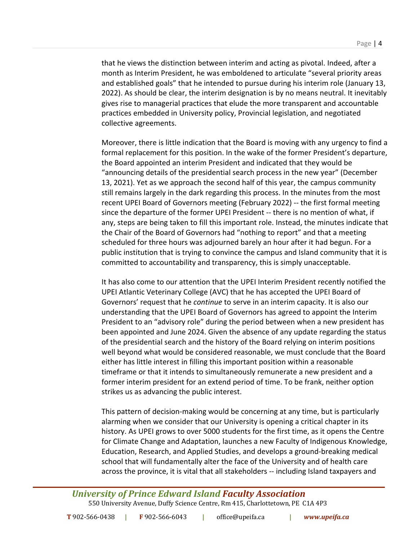that he views the distinction between interim and acting as pivotal. Indeed, after a month as Interim President, he was emboldened to articulate "several priority areas and established goals" that he intended to pursue during his interim role (January 13, 2022). As should be clear, the interim designation is by no means neutral. It inevitably gives rise to managerial practices that elude the more transparent and accountable practices embedded in University policy, Provincial legislation, and negotiated collective agreements.

Moreover, there is little indication that the Board is moving with any urgency to find a formal replacement for this position. In the wake of the former President's departure, the Board appointed an interim President and indicated that they would be "announcing details of the presidential search process in the new year" (December 13, 2021). Yet as we approach the second half of this year, the campus community still remains largely in the dark regarding this process. In the minutes from the most recent UPEI Board of Governors meeting (February 2022) -- the first formal meeting since the departure of the former UPEI President -- there is no mention of what, if any, steps are being taken to fill this important role. Instead, the minutes indicate that the Chair of the Board of Governors had "nothing to report" and that a meeting scheduled for three hours was adjourned barely an hour after it had begun. For a public institution that is trying to convince the campus and Island community that it is committed to accountability and transparency, this is simply unacceptable.

It has also come to our attention that the UPEI Interim President recently notified the UPEI Atlantic Veterinary College (AVC) that he has accepted the UPEI Board of Governors' request that he *continue* to serve in an interim capacity. It is also our understanding that the UPEI Board of Governors has agreed to appoint the Interim President to an "advisory role" during the period between when a new president has been appointed and June 2024. Given the absence of any update regarding the status of the presidential search and the history of the Board relying on interim positions well beyond what would be considered reasonable, we must conclude that the Board either has little interest in filling this important position within a reasonable timeframe or that it intends to simultaneously remunerate a new president and a former interim president for an extend period of time. To be frank, neither option strikes us as advancing the public interest.

This pattern of decision-making would be concerning at any time, but is particularly alarming when we consider that our University is opening a critical chapter in its history. As UPEI grows to over 5000 students for the first time, as it opens the Centre for Climate Change and Adaptation, launches a new Faculty of Indigenous Knowledge, Education, Research, and Applied Studies, and develops a ground-breaking medical school that will fundamentally alter the face of the University and of health care across the province, it is vital that all stakeholders -- including Island taxpayers and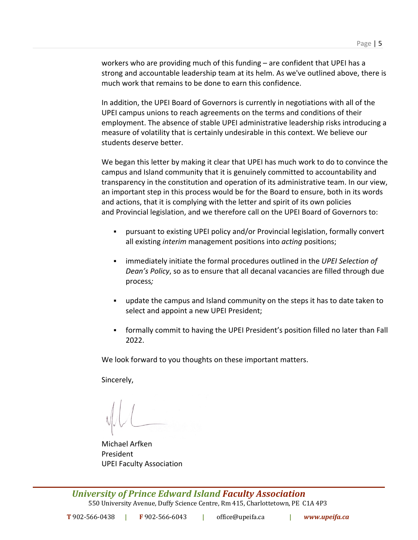workers who are providing much of this funding – are confident that UPEI has a strong and accountable leadership team at its helm. As we've outlined above, there is much work that remains to be done to earn this confidence.

In addition, the UPEI Board of Governors is currently in negotiations with all of the UPEI campus unions to reach agreements on the terms and conditions of their employment. The absence of stable UPEI administrative leadership risks introducing a measure of volatility that is certainly undesirable in this context. We believe our students deserve better.

We began this letter by making it clear that UPEI has much work to do to convince the campus and Island community that it is genuinely committed to accountability and transparency in the constitution and operation of its administrative team. In our view, an important step in this process would be for the Board to ensure, both in its words and actions, that it is complying with the letter and spirit of its own policies and Provincial legislation, and we therefore call on the UPEI Board of Governors to:

- § pursuant to existing UPEI policy and/or Provincial legislation, formally convert all existing *interim* management positions into *acting* positions;
- § immediately initiate the formal procedures outlined in the *UPEI Selection of Dean's Policy*, so as to ensure that all decanal vacancies are filled through due process*;*
- § update the campus and Island community on the steps it has to date taken to select and appoint a new UPEI President;
- § formally commit to having the UPEI President's position filled no later than Fall 2022.

We look forward to you thoughts on these important matters.

Sincerely,

Michael Arfken President UPEI Faculty Association